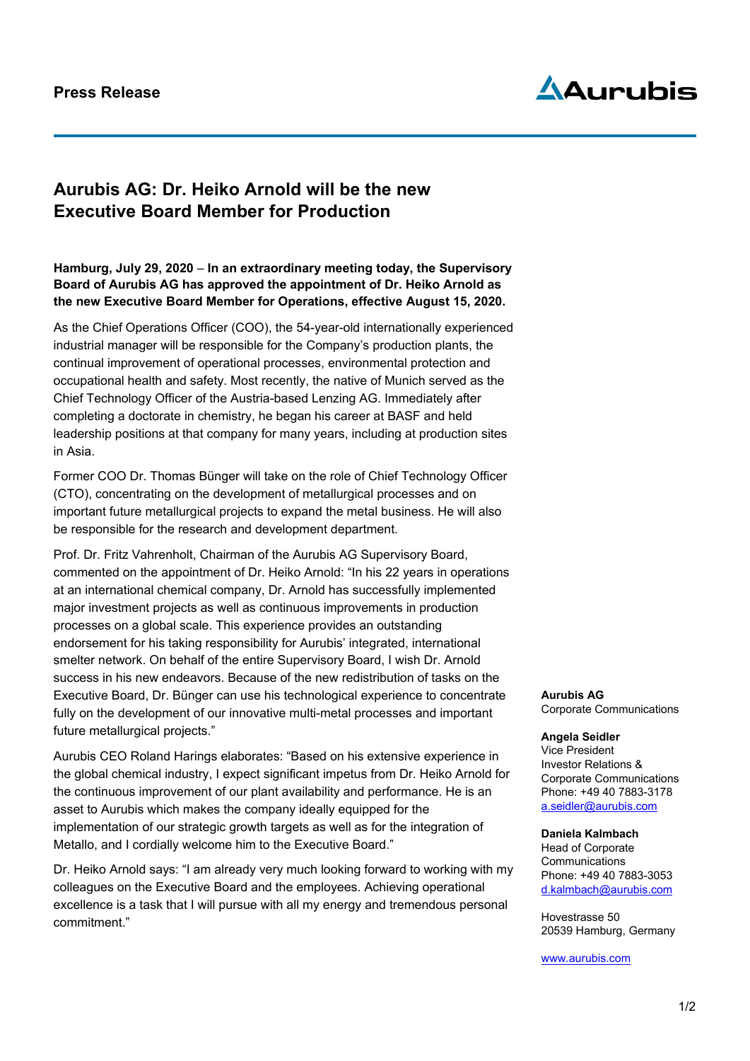# **Press Release**

# AAurubis

# **Aurubis AG: Dr. Heiko Arnold will be the new Executive Board Member for Production**

## **Hamburg, July 29, 2020** – **In an extraordinary meeting today, the Supervisory Board of Aurubis AG has approved the appointment of Dr. Heiko Arnold as the new Executive Board Member for Operations, effective August 15, 2020.**

As the Chief Operations Officer (COO), the 54-year-old internationally experienced industrial manager will be responsible for the Company's production plants, the continual improvement of operational processes, environmental protection and occupational health and safety. Most recently, the native of Munich served as the Chief Technology Officer of the Austria-based Lenzing AG. Immediately after completing a doctorate in chemistry, he began his career at BASF and held leadership positions at that company for many years, including at production sites in Asia.

Former COO Dr. Thomas Bünger will take on the role of Chief Technology Officer (CTO), concentrating on the development of metallurgical processes and on important future metallurgical projects to expand the metal business. He will also be responsible for the research and development department.

Prof. Dr. Fritz Vahrenholt, Chairman of the Aurubis AG Supervisory Board, commented on the appointment of Dr. Heiko Arnold: "In his 22 years in operations at an international chemical company, Dr. Arnold has successfully implemented major investment projects as well as continuous improvements in production processes on a global scale. This experience provides an outstanding endorsement for his taking responsibility for Aurubis' integrated, international smelter network. On behalf of the entire Supervisory Board, I wish Dr. Arnold success in his new endeavors. Because of the new redistribution of tasks on the Executive Board, Dr. Bünger can use his technological experience to concentrate fully on the development of our innovative multi-metal processes and important future metallurgical projects."

Aurubis CEO Roland Harings elaborates: "Based on his extensive experience in the global chemical industry, I expect significant impetus from Dr. Heiko Arnold for the continuous improvement of our plant availability and performance. He is an asset to Aurubis which makes the company ideally equipped for the implementation of our strategic growth targets as well as for the integration of Metallo, and I cordially welcome him to the Executive Board."

Dr. Heiko Arnold says: "I am already very much looking forward to working with my colleagues on the Executive Board and the employees. Achieving operational excellence is a task that I will pursue with all my energy and tremendous personal commitment."

**Aurubis AG** Corporate Communications

#### **Angela Seidler** Vice President Investor Relations & Corporate Communications Phone: +49 40 7883-3178

[a.seidler@aurubis.com](mailto:a.seidler@aurubis.com)

### **Daniela Kalmbach**

Head of Corporate Communications Phone: +49 40 7883-3053 d.kalmbach@aurubis.com

Hovestrasse 50 20539 Hamburg, Germany

[www.aurubis.com](http://www.aurubis.com/)